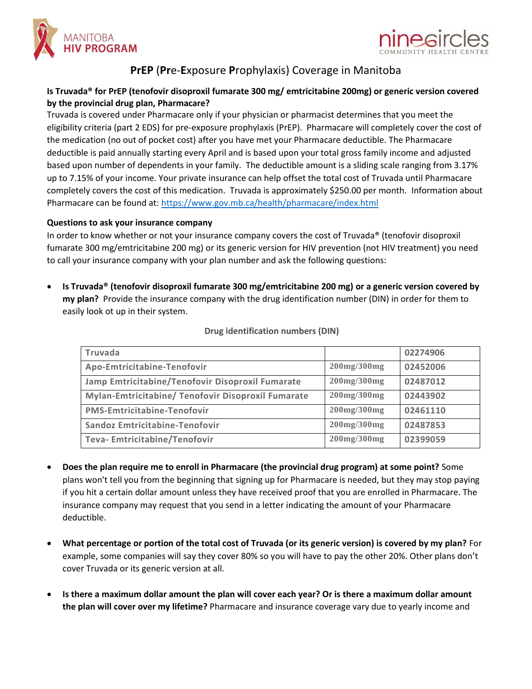



## **PrEP** (**Pr**e-**E**xposure **P**rophylaxis) Coverage in Manitoba

## **Is Truvada® for PrEP (tenofovir disoproxil fumarate 300 mg/ emtricitabine 200mg) or generic version covered by the provincial drug plan, Pharmacare?**

Truvada is covered under Pharmacare only if your physician or pharmacist determines that you meet the eligibility criteria (part 2 EDS) for pre-exposure prophylaxis (PrEP). Pharmacare will completely cover the cost of the medication (no out of pocket cost) after you have met your Pharmacare deductible. The Pharmacare deductible is paid annually starting every April and is based upon your total gross family income and adjusted based upon number of dependents in your family. The deductible amount is a sliding scale ranging from 3.17% up to 7.15% of your income. Your private insurance can help offset the total cost of Truvada until Pharmacare completely covers the cost of this medication. Truvada is approximately \$250.00 per month. Information about Pharmacare can be found at[: https://www.gov.mb.ca/health/pharmacare/index.html](https://www.gov.mb.ca/health/pharmacare/index.html)

## **Questions to ask your insurance company**

In order to know whether or not your insurance company covers the cost of Truvada® (tenofovir disoproxil fumarate 300 mg/emtricitabine 200 mg) or its generic version for HIV prevention (not HIV treatment) you need to call your insurance company with your plan number and ask the following questions:

 **Is Truvada® (tenofovir disoproxil fumarate 300 mg/emtricitabine 200 mg) or a generic version covered by my plan?** Provide the insurance company with the drug identification number (DIN) in order for them to easily look ot up in their system.

| Truvada                                            |                    | 02274906 |
|----------------------------------------------------|--------------------|----------|
| Apo-Emtricitabine-Tenofovir                        | 200mg/300mg        | 02452006 |
| Jamp Emtricitabine/Tenofovir Disoproxil Fumarate   | 200mg/300mg        | 02487012 |
| Mylan-Emtricitabine/ Tenofovir Disoproxil Fumarate | 200mg/300mg        | 02443902 |
| <b>PMS-Emtricitabine-Tenofovir</b>                 | $200$ mg/ $300$ mg | 02461110 |
| Sandoz Emtricitabine-Tenofovir                     | 200mg/300mg        | 02487853 |
| Teva- Emtricitabine/Tenofovir                      | 200mg/300mg        | 02399059 |

## **Drug identification numbers (DIN)**

- **Does the plan require me to enroll in Pharmacare (the provincial drug program) at some point?** Some plans won't tell you from the beginning that signing up for Pharmacare is needed, but they may stop paying if you hit a certain dollar amount unless they have received proof that you are enrolled in Pharmacare. The insurance company may request that you send in a letter indicating the amount of your Pharmacare deductible.
- **What percentage or portion of the total cost of Truvada (or its generic version) is covered by my plan?** For example, some companies will say they cover 80% so you will have to pay the other 20%. Other plans don't cover Truvada or its generic version at all.
- **Is there a maximum dollar amount the plan will cover each year? Or is there a maximum dollar amount the plan will cover over my lifetime?** Pharmacare and insurance coverage vary due to yearly income and